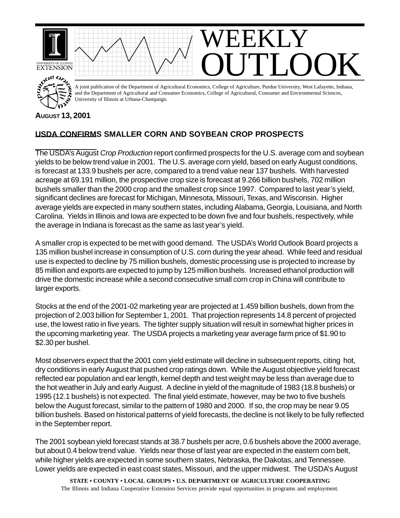

## **AUGUST 13, 2001**

## **USDA CONFIRMS SMALLER CORN AND SOYBEAN CROP PROSPECTS**

The USDA's August *Crop Production* report confirmed prospects for the U.S. average corn and soybean yields to be below trend value in 2001. The U.S. average corn yield, based on early August conditions, is forecast at 133.9 bushels per acre, compared to a trend value near 137 bushels. With harvested acreage at 69.191 million, the prospective crop size is forecast at 9.266 billion bushels, 702 million bushels smaller than the 2000 crop and the smallest crop since 1997. Compared to last year's yield, significant declines are forecast for Michigan, Minnesota, Missouri, Texas, and Wisconsin. Higher average yields are expected in many southern states, including Alabama, Georgia, Louisiana, and North Carolina. Yields in Illinois and Iowa are expected to be down five and four bushels, respectively, while the average in Indiana is forecast as the same as last year's yield.

A smaller crop is expected to be met with good demand. The USDA's World Outlook Board projects a 135 million bushel increase in consumption of U.S. corn during the year ahead. While feed and residual use is expected to decline by 75 million bushels, domestic processing use is projected to increase by 85 million and exports are expected to jump by 125 million bushels. Increased ethanol production will drive the domestic increase while a second consecutive small corn crop in China will contribute to larger exports.

Stocks at the end of the 2001-02 marketing year are projected at 1.459 billion bushels, down from the projection of 2.003 billion for September 1, 2001. That projection represents 14.8 percent of projected use, the lowest ratio in five years. The tighter supply situation will result in somewhat higher prices in the upcoming marketing year. The USDA projects a marketing year average farm price of \$1.90 to \$2.30 per bushel.

Most observers expect that the 2001 corn yield estimate will decline in subsequent reports, citing hot, dry conditions in early August that pushed crop ratings down. While the August objective yield forecast reflected ear population and ear length, kernel depth and test weight may be less than average due to the hot weather in July and early August. A decline in yield of the magnitude of 1983 (18.8 bushels) or 1995 (12.1 bushels) is not expected. The final yield estimate, however, may be two to five bushels below the August forecast, similar to the pattern of 1980 and 2000. If so, the crop may be near 9.05 billion bushels. Based on historical patterns of yield forecasts, the decline is not likely to be fully reflected in the September report.

The 2001 soybean yield forecast stands at 38.7 bushels per acre, 0.6 bushels above the 2000 average, but about 0.4 below trend value. Yields near those of last year are expected in the eastern corn belt, while higher yields are expected in some southern states, Nebraska, the Dakotas, and Tennessee. Lower yields are expected in east coast states, Missouri, and the upper midwest. The USDA's August

**STATE • COUNTY • LOCAL GROUPS • U.S. DEPARTMENT OF AGRICULTURE COOPERATING** The Illinois and Indiana Cooperative Extension Services provide equal opportunities in programs and employment.